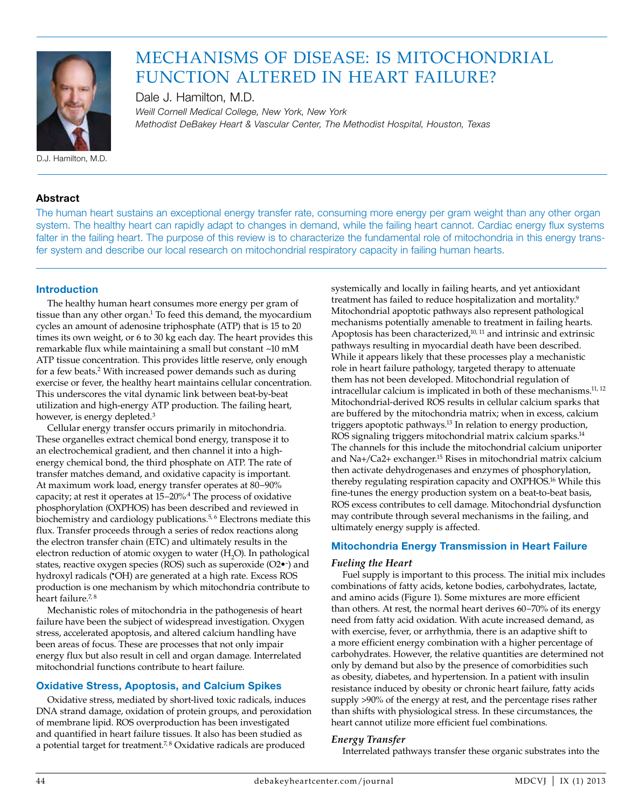

# Mechanisms of Disease: Is Mitochondrial Function Altered in Heart Failure?

Dale J. Hamilton, M.D. *Weill Cornell Medical College, New York, New York Methodist DeBakey Heart & Vascular Center, The Methodist Hospital, Houston, Texas*

# **Abstract**

The human heart sustains an exceptional energy transfer rate, consuming more energy per gram weight than any other organ system. The healthy heart can rapidly adapt to changes in demand, while the failing heart cannot. Cardiac energy flux systems falter in the failing heart. The purpose of this review is to characterize the fundamental role of mitochondria in this energy transfer system and describe our local research on mitochondrial respiratory capacity in failing human hearts.

# **Introduction**

The healthy human heart consumes more energy per gram of tissue than any other organ.<sup>1</sup> To feed this demand, the myocardium cycles an amount of adenosine triphosphate (ATP) that is 15 to 20 times its own weight, or 6 to 30 kg each day. The heart provides this remarkable flux while maintaining a small but constant ~10 mM ATP tissue concentration. This provides little reserve, only enough for a few beats.<sup>2</sup> With increased power demands such as during exercise or fever, the healthy heart maintains cellular concentration. This underscores the vital dynamic link between beat-by-beat utilization and high-energy ATP production. The failing heart, however, is energy depleted.<sup>3</sup>

Cellular energy transfer occurs primarily in mitochondria. These organelles extract chemical bond energy, transpose it to an electrochemical gradient, and then channel it into a highenergy chemical bond, the third phosphate on ATP. The rate of transfer matches demand, and oxidative capacity is important. At maximum work load, energy transfer operates at 80−90% capacity; at rest it operates at 15−20%.4 The process of oxidative phosphorylation (OXPHOS) has been described and reviewed in biochemistry and cardiology publications.<sup>5, 6</sup> Electrons mediate this flux. Transfer proceeds through a series of redox reactions along the electron transfer chain (ETC) and ultimately results in the electron reduction of atomic oxygen to water ( $\rm H_2O$ ). In pathological states, reactive oxygen species (ROS) such as superoxide (O2•- ) and hydroxyl radicals (•OH) are generated at a high rate. Excess ROS production is one mechanism by which mitochondria contribute to heart failure.<sup>7, 8</sup>

Mechanistic roles of mitochondria in the pathogenesis of heart failure have been the subject of widespread investigation. Oxygen stress, accelerated apoptosis, and altered calcium handling have been areas of focus. These are processes that not only impair energy flux but also result in cell and organ damage. Interrelated mitochondrial functions contribute to heart failure.

# **Oxidative Stress, Apoptosis, and Calcium Spikes**

Oxidative stress, mediated by short-lived toxic radicals, induces DNA strand damage, oxidation of protein groups, and peroxidation of membrane lipid. ROS overproduction has been investigated and quantified in heart failure tissues. It also has been studied as a potential target for treatment.<sup>7,8</sup> Oxidative radicals are produced

systemically and locally in failing hearts, and yet antioxidant treatment has failed to reduce hospitalization and mortality.9 Mitochondrial apoptotic pathways also represent pathological mechanisms potentially amenable to treatment in failing hearts. Apoptosis has been characterized, $10, 11$  and intrinsic and extrinsic pathways resulting in myocardial death have been described. While it appears likely that these processes play a mechanistic role in heart failure pathology, targeted therapy to attenuate them has not been developed. Mitochondrial regulation of intracellular calcium is implicated in both of these mechanisms.11, 12 Mitochondrial-derived ROS results in cellular calcium sparks that are buffered by the mitochondria matrix; when in excess, calcium triggers apoptotic pathways.13 In relation to energy production, ROS signaling triggers mitochondrial matrix calcium sparks.<sup>14</sup> The channels for this include the mitochondrial calcium uniporter and Na+/Ca2+ exchanger.15 Rises in mitochondrial matrix calcium then activate dehydrogenases and enzymes of phosphorylation, thereby regulating respiration capacity and OXPHOS. 16 While this fine-tunes the energy production system on a beat-to-beat basis, ROS excess contributes to cell damage. Mitochondrial dysfunction may contribute through several mechanisms in the failing, and ultimately energy supply is affected.

# **Mitochondria Energy Transmission in Heart Failure**

# *Fueling the Heart*

Fuel supply is important to this process. The initial mix includes combinations of fatty acids, ketone bodies, carbohydrates, lactate, and amino acids (Figure 1). Some mixtures are more efficient than others. At rest, the normal heart derives 60−70% of its energy need from fatty acid oxidation. With acute increased demand, as with exercise, fever, or arrhythmia, there is an adaptive shift to a more efficient energy combination with a higher percentage of carbohydrates. However, the relative quantities are determined not only by demand but also by the presence of comorbidities such as obesity, diabetes, and hypertension. In a patient with insulin resistance induced by obesity or chronic heart failure, fatty acids supply >90% of the energy at rest, and the percentage rises rather than shifts with physiological stress. In these circumstances, the heart cannot utilize more efficient fuel combinations.

# *Energy Transfer*

Interrelated pathways transfer these organic substrates into the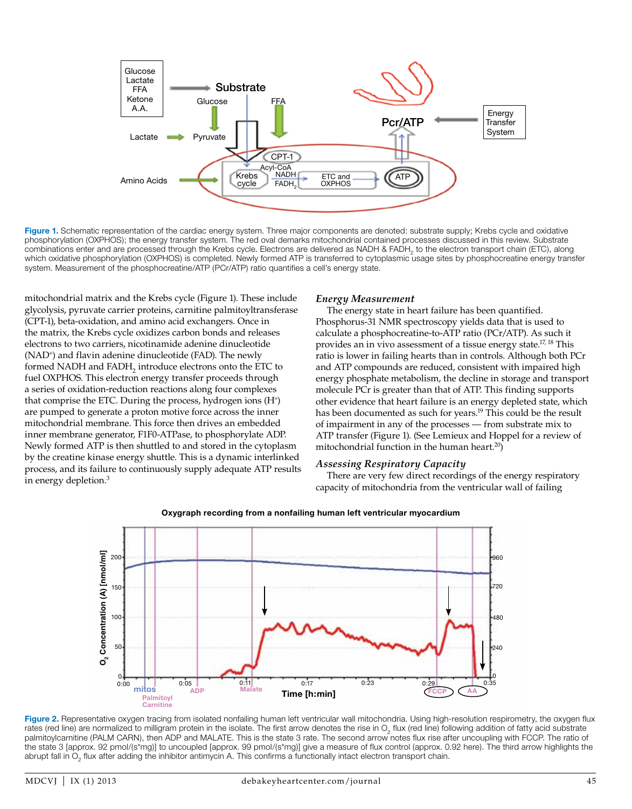

Figure 1. Schematic representation of the cardiac energy system. Three major components are denoted: substrate supply; Krebs cycle and oxidative phosphorylation (OXPHOS); the energy transfer system. The red oval demarks mitochondrial contained processes discussed in this review. Substrate combinations enter and are processed through the Krebs cycle. Electrons are delivered as NADH & FADH<sub>2</sub> to the electron transport chain (ETC), along which oxidative phosphorylation (OXPHOS) is completed. Newly formed ATP is transferred to cytoplasmic usage sites by phosphocreatine energy transfer system. Measurement of the phosphocreatine/ATP (PCr/ATP) ratio quantifies a cell's energy state.

mitochondrial matrix and the Krebs cycle (Figure 1). These include glycolysis, pyruvate carrier proteins, carnitine palmitoyltransferase (CPT-1), beta-oxidation, and amino acid exchangers. Once in the matrix, the Krebs cycle oxidizes carbon bonds and releases electrons to two carriers, nicotinamide adenine dinucleotide (NAD<sup>+</sup>) and flavin adenine dinucleotide (FAD). The newly formed NADH and  $\text{FADH}_2$  introduce electrons onto the ETC to fuel OXPHOS. This electron energy transfer proceeds through a series of oxidation-reduction reactions along four complexes that comprise the ETC. During the process, hydrogen ions (H+) are pumped to generate a proton motive force across the inner mitochondrial membrane. This force then drives an embedded inner membrane generator, F1F0-ATPase, to phosphorylate ADP. Newly formed ATP is then shuttled to and stored in the cytoplasm by the creatine kinase energy shuttle. This is a dynamic interlinked process, and its failure to continuously supply adequate ATP results in energy depletion.3

#### *Energy Measurement*

The energy state in heart failure has been quantified. Phosphorus-31 NMR spectroscopy yields data that is used to calculate a phosphocreatine-to-ATP ratio (PCr/ATP). As such it provides an in vivo assessment of a tissue energy state.<sup>17, 18</sup> This ratio is lower in failing hearts than in controls. Although both PCr and ATP compounds are reduced, consistent with impaired high energy phosphate metabolism, the decline in storage and transport molecule PCr is greater than that of ATP. This finding supports other evidence that heart failure is an energy depleted state, which has been documented as such for years.<sup>19</sup> This could be the result of impairment in any of the processes — from substrate mix to ATP transfer (Figure 1). (See Lemieux and Hoppel for a review of mitochondrial function in the human heart.<sup>20</sup>)

#### *Assessing Respiratory Capacity*

There are very few direct recordings of the energy respiratory capacity of mitochondria from the ventricular wall of failing



#### **Oxygraph recording from a nonfailing human left ventricular myocardium**

Figure 2. Representative oxygen tracing from isolated nonfailing human left ventricular wall mitochondria. Using high-resolution respirometry, the oxygen flux rates (red line) are normalized to milligram protein in the isolate. The first arrow denotes the rise in O<sub>2</sub> flux (red line) following addition of fatty acid substrate palmitoylcarnitine (PALM CARN), then ADP and MALATE. This is the state 3 rate. The second arrow notes flux rise after uncoupling with FCCP. The ratio of the state 3 [approx. 92 pmol/(s\*mg)] to uncoupled [approx. 99 pmol/(s\*mg)] give a measure of flux control (approx. 0.92 here). The third arrow highlights the abrupt fall in  $O<sub>2</sub>$  flux after adding the inhibitor antimycin A. This confirms a functionally intact electron transport chain.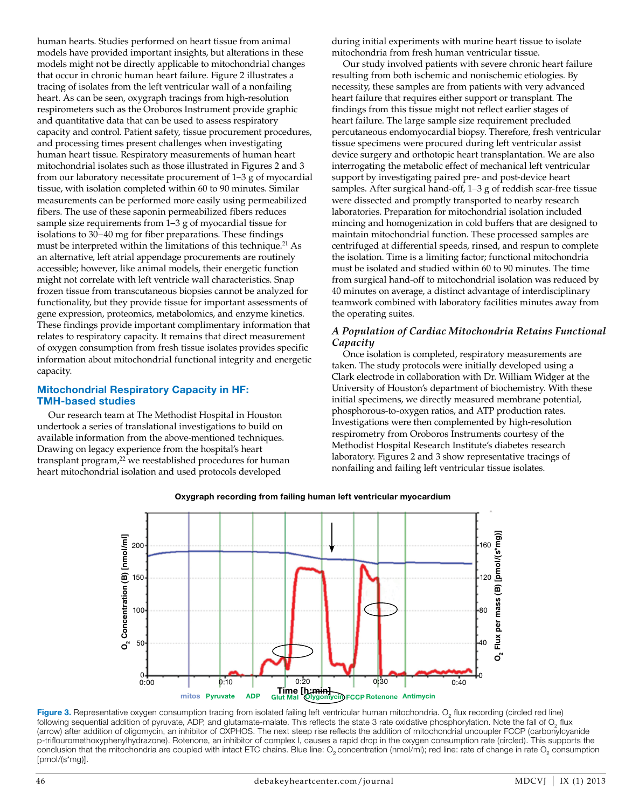human hearts. Studies performed on heart tissue from animal models have provided important insights, but alterations in these models might not be directly applicable to mitochondrial changes that occur in chronic human heart failure. Figure 2 illustrates a tracing of isolates from the left ventricular wall of a nonfailing heart. As can be seen, oxygraph tracings from high-resolution respirometers such as the Oroboros Instrument provide graphic and quantitative data that can be used to assess respiratory capacity and control. Patient safety, tissue procurement procedures, and processing times present challenges when investigating human heart tissue. Respiratory measurements of human heart mitochondrial isolates such as those illustrated in Figures 2 and 3 from our laboratory necessitate procurement of 1−3 g of myocardial tissue, with isolation completed within 60 to 90 minutes. Similar measurements can be performed more easily using permeabilized fibers. The use of these saponin permeabilized fibers reduces sample size requirements from 1−3 g of myocardial tissue for isolations to 30−40 mg for fiber preparations. These findings must be interpreted within the limitations of this technique.<sup>21</sup> As an alternative, left atrial appendage procurements are routinely accessible; however, like animal models, their energetic function might not correlate with left ventricle wall characteristics. Snap frozen tissue from transcutaneous biopsies cannot be analyzed for functionality, but they provide tissue for important assessments of gene expression, proteomics, metabolomics, and enzyme kinetics. These findings provide important complimentary information that relates to respiratory capacity. It remains that direct measurement of oxygen consumption from fresh tissue isolates provides specific information about mitochondrial functional integrity and energetic capacity.

# **Mitochondrial Respiratory Capacity in HF: TMH-based studies**

Our research team at The Methodist Hospital in Houston undertook a series of translational investigations to build on available information from the above-mentioned techniques. Drawing on legacy experience from the hospital's heart transplant program,<sup>22</sup> we reestablished procedures for human heart mitochondrial isolation and used protocols developed

during initial experiments with murine heart tissue to isolate mitochondria from fresh human ventricular tissue.

Our study involved patients with severe chronic heart failure resulting from both ischemic and nonischemic etiologies. By necessity, these samples are from patients with very advanced heart failure that requires either support or transplant. The findings from this tissue might not reflect earlier stages of heart failure. The large sample size requirement precluded percutaneous endomyocardial biopsy. Therefore, fresh ventricular tissue specimens were procured during left ventricular assist device surgery and orthotopic heart transplantation. We are also interrogating the metabolic effect of mechanical left ventricular support by investigating paired pre- and post-device heart samples. After surgical hand-off, 1−3 g of reddish scar-free tissue were dissected and promptly transported to nearby research laboratories. Preparation for mitochondrial isolation included mincing and homogenization in cold buffers that are designed to maintain mitochondrial function. These processed samples are centrifuged at differential speeds, rinsed, and respun to complete the isolation. Time is a limiting factor; functional mitochondria must be isolated and studied within 60 to 90 minutes. The time from surgical hand-off to mitochondrial isolation was reduced by 40 minutes on average, a distinct advantage of interdisciplinary teamwork combined with laboratory facilities minutes away from the operating suites.

# *A Population of Cardiac Mitochondria Retains Functional Capacity*

Once isolation is completed, respiratory measurements are taken. The study protocols were initially developed using a Clark electrode in collaboration with Dr. William Widger at the University of Houston's department of biochemistry. With these initial specimens, we directly measured membrane potential, phosphorous-to-oxygen ratios, and ATP production rates. Investigations were then complemented by high-resolution respirometry from Oroboros Instruments courtesy of the Methodist Hospital Research Institute's diabetes research laboratory. Figures 2 and 3 show representative tracings of nonfailing and failing left ventricular tissue isolates.



**Oxygraph recording from failing human left ventricular myocardium**

Figure 3. Representative oxygen consumption tracing from isolated failing left ventricular human mitochondria. O<sub>2</sub> flux recording (circled red line) following sequential addition of pyruvate, ADP, and glutamate-malate. This reflects the state 3 rate oxidative phosphorylation. Note the fall of  $O<sub>2</sub>$  flux (arrow) after addition of oligomycin, an inhibitor of OXPHOS. The next steep rise reflects the addition of mitochondrial uncoupler FCCP (carbonylcyanide p-triflouromethoxyphenylhydrazone). Rotenone, an inhibitor of complex I, causes a rapid drop in the oxygen consumption rate (circled). This supports the conclusion that the mitochondria are coupled with intact ETC chains. Blue line: O<sub>2</sub> concentration (nmol/ml); red line: rate of change in rate O<sub>2</sub> consumption [pmol/(s\*mg)].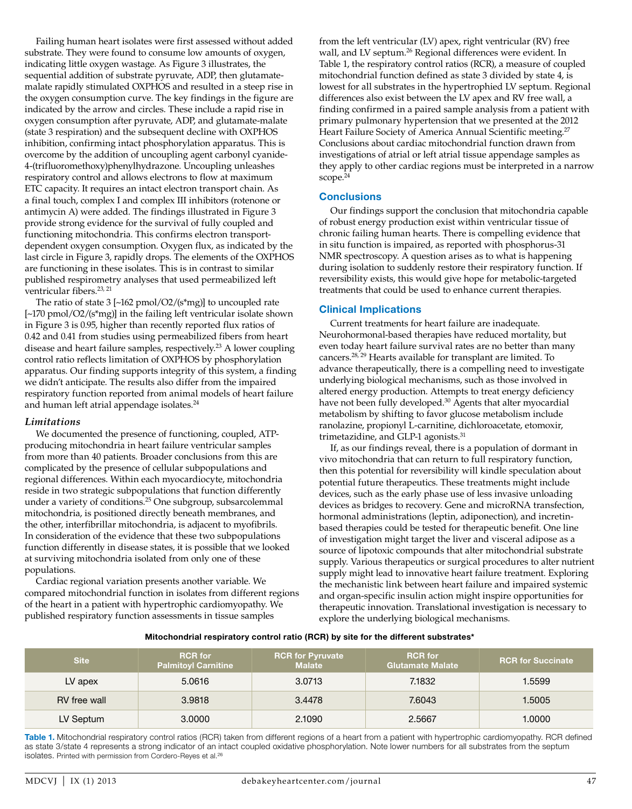Failing human heart isolates were first assessed without added substrate. They were found to consume low amounts of oxygen, indicating little oxygen wastage. As Figure 3 illustrates, the sequential addition of substrate pyruvate, ADP, then glutamatemalate rapidly stimulated OXPHOS and resulted in a steep rise in the oxygen consumption curve. The key findings in the figure are indicated by the arrow and circles. These include a rapid rise in oxygen consumption after pyruvate, ADP, and glutamate-malate (state 3 respiration) and the subsequent decline with OXPHOS inhibition, confirming intact phosphorylation apparatus. This is overcome by the addition of uncoupling agent carbonyl cyanide-4-(trifluoromethoxy)phenylhydrazone. Uncoupling unleashes respiratory control and allows electrons to flow at maximum ETC capacity. It requires an intact electron transport chain. As a final touch, complex I and complex III inhibitors (rotenone or antimycin A) were added. The findings illustrated in Figure 3 provide strong evidence for the survival of fully coupled and functioning mitochondria. This confirms electron transportdependent oxygen consumption. Oxygen flux, as indicated by the last circle in Figure 3, rapidly drops. The elements of the OXPHOS are functioning in these isolates. This is in contrast to similar published respirometry analyses that used permeabilized left ventricular fibers.<sup>23, 21</sup>

The ratio of state  $3$  [~162 pmol/O2/(s\*mg)] to uncoupled rate [~170 pmol/O2/(s\*mg)] in the failing left ventricular isolate shown in Figure 3 is 0.95, higher than recently reported flux ratios of 0.42 and 0.41 from studies using permeabilized fibers from heart disease and heart failure samples, respectively.<sup>23</sup> A lower coupling control ratio reflects limitation of OXPHOS by phosphorylation apparatus. Our finding supports integrity of this system, a finding we didn't anticipate. The results also differ from the impaired respiratory function reported from animal models of heart failure and human left atrial appendage isolates.<sup>24</sup>

#### *Limitations*

We documented the presence of functioning, coupled, ATPproducing mitochondria in heart failure ventricular samples from more than 40 patients. Broader conclusions from this are complicated by the presence of cellular subpopulations and regional differences. Within each myocardiocyte, mitochondria reside in two strategic subpopulations that function differently under a variety of conditions.<sup>25</sup> One subgroup, subsarcolemmal mitochondria, is positioned directly beneath membranes, and the other, interfibrillar mitochondria, is adjacent to myofibrils. In consideration of the evidence that these two subpopulations function differently in disease states, it is possible that we looked at surviving mitochondria isolated from only one of these populations.

Cardiac regional variation presents another variable. We compared mitochondrial function in isolates from different regions of the heart in a patient with hypertrophic cardiomyopathy. We published respiratory function assessments in tissue samples

from the left ventricular (LV) apex, right ventricular (RV) free wall, and LV septum.26 Regional differences were evident. In Table 1, the respiratory control ratios (RCR), a measure of coupled mitochondrial function defined as state 3 divided by state 4, is lowest for all substrates in the hypertrophied LV septum. Regional differences also exist between the LV apex and RV free wall, a finding confirmed in a paired sample analysis from a patient with primary pulmonary hypertension that we presented at the 2012 Heart Failure Society of America Annual Scientific meeting.<sup>27</sup> Conclusions about cardiac mitochondrial function drawn from investigations of atrial or left atrial tissue appendage samples as they apply to other cardiac regions must be interpreted in a narrow scope.<sup>24</sup>

# **Conclusions**

Our findings support the conclusion that mitochondria capable of robust energy production exist within ventricular tissue of chronic failing human hearts. There is compelling evidence that in situ function is impaired, as reported with phosphorus-31 NMR spectroscopy. A question arises as to what is happening during isolation to suddenly restore their respiratory function. If reversibility exists, this would give hope for metabolic-targeted treatments that could be used to enhance current therapies.

# **Clinical Implications**

Current treatments for heart failure are inadequate. Neurohormonal-based therapies have reduced mortality, but even today heart failure survival rates are no better than many cancers.28, 29 Hearts available for transplant are limited. To advance therapeutically, there is a compelling need to investigate underlying biological mechanisms, such as those involved in altered energy production. Attempts to treat energy deficiency have not been fully developed.<sup>30</sup> Agents that alter myocardial metabolism by shifting to favor glucose metabolism include ranolazine, propionyl L-carnitine, dichloroacetate, etomoxir, trimetazidine, and GLP-1 agonists.<sup>31</sup>

If, as our findings reveal, there is a population of dormant in vivo mitochondria that can return to full respiratory function, then this potential for reversibility will kindle speculation about potential future therapeutics. These treatments might include devices, such as the early phase use of less invasive unloading devices as bridges to recovery. Gene and microRNA transfection, hormonal administrations (leptin, adiponection), and incretinbased therapies could be tested for therapeutic benefit. One line of investigation might target the liver and visceral adipose as a source of lipotoxic compounds that alter mitochondrial substrate supply. Various therapeutics or surgical procedures to alter nutrient supply might lead to innovative heart failure treatment. Exploring the mechanistic link between heart failure and impaired systemic and organ-specific insulin action might inspire opportunities for therapeutic innovation. Translational investigation is necessary to explore the underlying biological mechanisms.

#### **Mitochondrial respiratory control ratio (RCR) by site for the different substrates\***

| <b>Site</b>  | <b>RCR</b> for<br><b>Palmitoyl Carnitine</b> | <b>RCR for Pyruvate</b><br><b>Malate</b> | <b>RCR</b> for<br><b>Glutamate Malate</b> | <b>RCR for Succinate</b> |
|--------------|----------------------------------------------|------------------------------------------|-------------------------------------------|--------------------------|
| LV apex      | 5.0616                                       | 3.0713                                   | 7.1832                                    | 1.5599                   |
| RV free wall | 3.9818                                       | 3.4478                                   | 7.6043                                    | 1.5005                   |
| LV Septum    | 3.0000                                       | 2.1090                                   | 2.5667                                    | 1.0000                   |

**Table 1.** Mitochondrial respiratory control ratios (RCR) taken from different regions of a heart from a patient with hypertrophic cardiomyopathy. RCR defined as state 3/state 4 represents a strong indicator of an intact coupled oxidative phosphorylation. Note lower numbers for all substrates from the septum isolates. Printed with permission from Cordero-Reyes et al.<sup>26</sup>